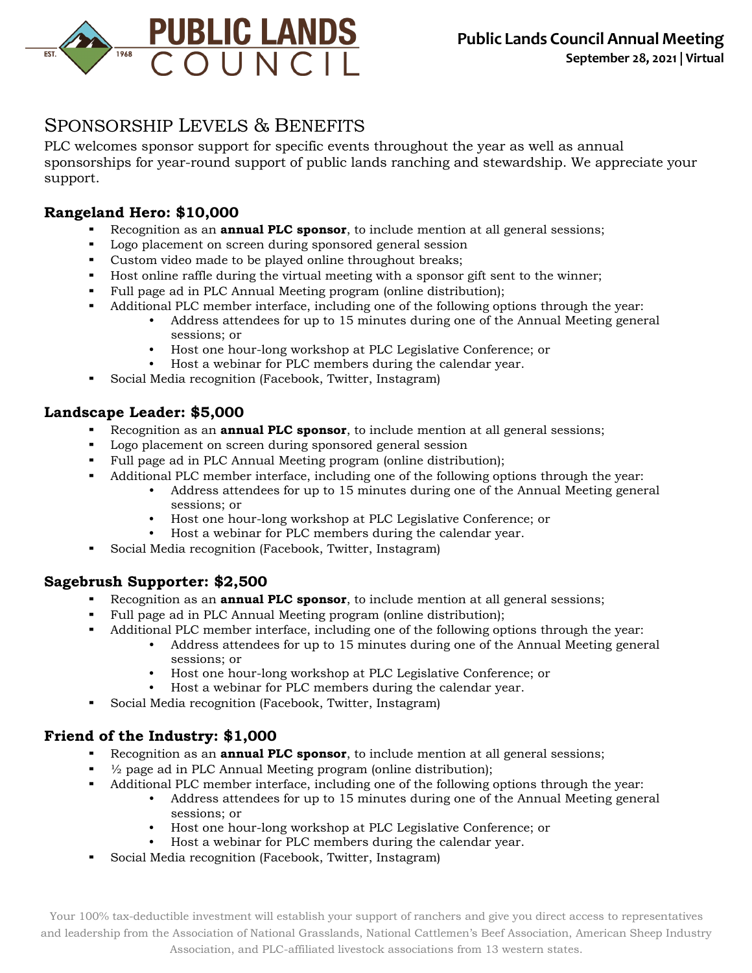

**September 28, 2021 | Virtual**

# SPONSORSHIP LEVELS & BENEFITS

PLC welcomes sponsor support for specific events throughout the year as well as annual sponsorships for year-round support of public lands ranching and stewardship. We appreciate your support.

## **Rangeland Hero: \$10,000**

- Recognition as an **annual PLC sponsor**, to include mention at all general sessions;
- Logo placement on screen during sponsored general session
- Custom video made to be played online throughout breaks;
- Host online raffle during the virtual meeting with a sponsor gift sent to the winner;
- Full page ad in PLC Annual Meeting program (online distribution);
- Additional PLC member interface, including one of the following options through the year:
	- Address attendees for up to 15 minutes during one of the Annual Meeting general sessions; or
	- Host one hour-long workshop at PLC Legislative Conference; or
	- Host a webinar for PLC members during the calendar year.
- Social Media recognition (Facebook, Twitter, Instagram)

### **Landscape Leader: \$5,000**

- Recognition as an **annual PLC sponsor**, to include mention at all general sessions;
- Logo placement on screen during sponsored general session
- Full page ad in PLC Annual Meeting program (online distribution);
- Additional PLC member interface, including one of the following options through the year:
	- Address attendees for up to 15 minutes during one of the Annual Meeting general sessions; or
	- Host one hour-long workshop at PLC Legislative Conference; or
	- Host a webinar for PLC members during the calendar year.
- Social Media recognition (Facebook, Twitter, Instagram)

#### **Sagebrush Supporter: \$2,500**

- Recognition as an **annual PLC sponsor**, to include mention at all general sessions;
- Full page ad in PLC Annual Meeting program (online distribution);
- Additional PLC member interface, including one of the following options through the year:
	- Address attendees for up to 15 minutes during one of the Annual Meeting general sessions; or
	- Host one hour-long workshop at PLC Legislative Conference; or
	- Host a webinar for PLC members during the calendar year.
- Social Media recognition (Facebook, Twitter, Instagram)

## **Friend of the Industry: \$1,000**

- Recognition as an **annual PLC sponsor**, to include mention at all general sessions;
- $\frac{1}{2}$  page ad in PLC Annual Meeting program (online distribution);
	- Additional PLC member interface, including one of the following options through the year:
		- Address attendees for up to 15 minutes during one of the Annual Meeting general sessions; or
			- Host one hour-long workshop at PLC Legislative Conference; or
			- Host a webinar for PLC members during the calendar year.
- Social Media recognition (Facebook, Twitter, Instagram)

Your 100% tax-deductible investment will establish your support of ranchers and give you direct access to representatives and leadership from the Association of National Grasslands, National Cattlemen's Beef Association, American Sheep Industry Association, and PLC-affiliated livestock associations from 13 western states.